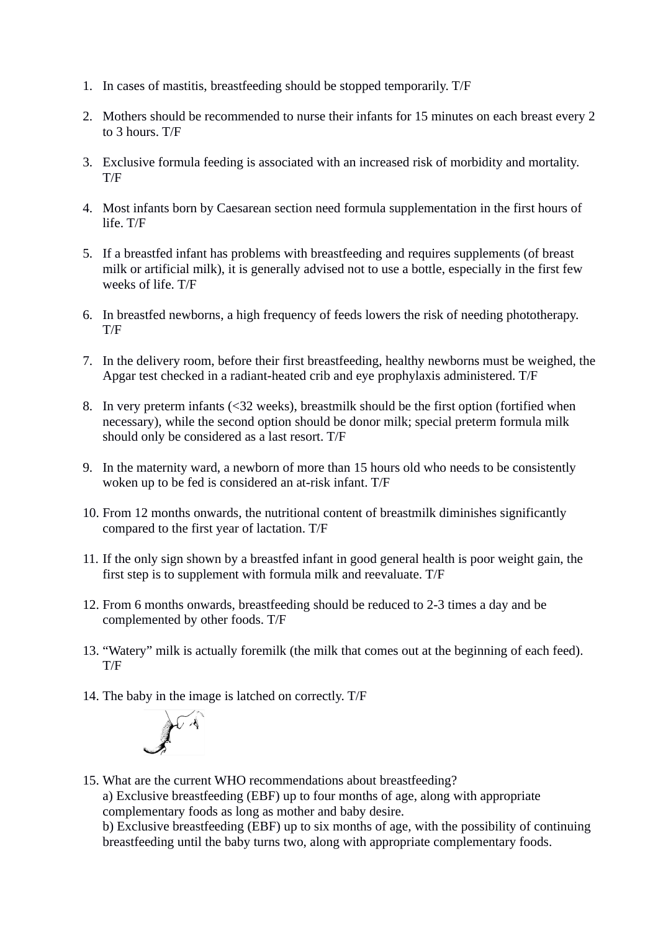- 1. In cases of mastitis, breastfeeding should be stopped temporarily. T/F
- 2. Mothers should be recommended to nurse their infants for 15 minutes on each breast every 2 to 3 hours. T/F
- 3. Exclusive formula feeding is associated with an increased risk of morbidity and mortality. T/F
- 4. Most infants born by Caesarean section need formula supplementation in the first hours of life. T/F
- 5. If a breastfed infant has problems with breastfeeding and requires supplements (of breast milk or artificial milk), it is generally advised not to use a bottle, especially in the first few weeks of life. T/F
- 6. In breastfed newborns, a high frequency of feeds lowers the risk of needing phototherapy. T/F
- 7. In the delivery room, before their first breastfeeding, healthy newborns must be weighed, the Apgar test checked in a radiant-heated crib and eye prophylaxis administered. T/F
- 8. In very preterm infants (<32 weeks), breastmilk should be the first option (fortified when necessary), while the second option should be donor milk; special preterm formula milk should only be considered as a last resort. T/F
- 9. In the maternity ward, a newborn of more than 15 hours old who needs to be consistently woken up to be fed is considered an at-risk infant. T/F
- 10. From 12 months onwards, the nutritional content of breastmilk diminishes significantly compared to the first year of lactation. T/F
- 11. If the only sign shown by a breastfed infant in good general health is poor weight gain, the first step is to supplement with formula milk and reevaluate. T/F
- 12. From 6 months onwards, breastfeeding should be reduced to 2-3 times a day and be complemented by other foods. T/F
- 13. "Watery" milk is actually foremilk (the milk that comes out at the beginning of each feed). T/F
- 14. The baby in the image is latched on correctly. T/F



15. What are the current WHO recommendations about breastfeeding? a) Exclusive breastfeeding (EBF) up to four months of age, along with appropriate complementary foods as long as mother and baby desire. b) Exclusive breastfeeding (EBF) up to six months of age, with the possibility of continuing

breastfeeding until the baby turns two, along with appropriate complementary foods.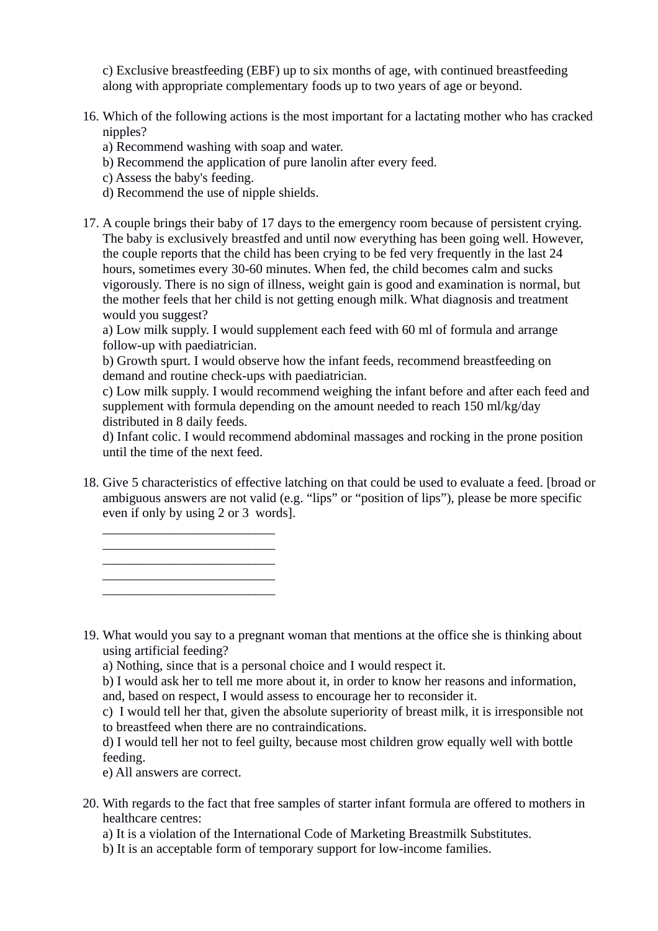c) Exclusive breastfeeding (EBF) up to six months of age, with continued breastfeeding along with appropriate complementary foods up to two years of age or beyond.

- 16. Which of the following actions is the most important for a lactating mother who has cracked nipples?
	- a) Recommend washing with soap and water.
	- b) Recommend the application of pure lanolin after every feed.
	- c) Assess the baby's feeding.
	- d) Recommend the use of nipple shields.
- 17. A couple brings their baby of 17 days to the emergency room because of persistent crying. The baby is exclusively breastfed and until now everything has been going well. However, the couple reports that the child has been crying to be fed very frequently in the last 24 hours, sometimes every 30-60 minutes. When fed, the child becomes calm and sucks vigorously. There is no sign of illness, weight gain is good and examination is normal, but the mother feels that her child is not getting enough milk. What diagnosis and treatment would you suggest?

a) Low milk supply. I would supplement each feed with 60 ml of formula and arrange follow-up with paediatrician.

b) Growth spurt. I would observe how the infant feeds, recommend breastfeeding on demand and routine check-ups with paediatrician.

c) Low milk supply. I would recommend weighing the infant before and after each feed and supplement with formula depending on the amount needed to reach 150 ml/kg/day distributed in 8 daily feeds.

d) Infant colic. I would recommend abdominal massages and rocking in the prone position until the time of the next feed.

18. Give 5 characteristics of effective latching on that could be used to evaluate a feed. [broad or ambiguous answers are not valid (e.g. "lips" or "position of lips"), please be more specific even if only by using 2 or 3 words].

19. What would you say to a pregnant woman that mentions at the office she is thinking about using artificial feeding?

a) Nothing, since that is a personal choice and I would respect it.

b) I would ask her to tell me more about it, in order to know her reasons and information, and, based on respect, I would assess to encourage her to reconsider it.

c) I would tell her that, given the absolute superiority of breast milk, it is irresponsible not to breastfeed when there are no contraindications.

d) I would tell her not to feel guilty, because most children grow equally well with bottle feeding.

e) All answers are correct.

\_\_\_\_\_\_\_\_\_\_\_\_\_\_\_\_\_\_\_\_\_\_\_\_\_\_

\_\_\_\_\_\_\_\_\_\_\_\_\_\_\_\_\_\_\_\_\_\_\_\_\_\_ \_\_\_\_\_\_\_\_\_\_\_\_\_\_\_\_\_\_\_\_\_\_\_\_\_\_ \_\_\_\_\_\_\_\_\_\_\_\_\_\_\_\_\_\_\_\_\_\_\_\_\_\_

20. With regards to the fact that free samples of starter infant formula are offered to mothers in healthcare centres:

a) It is a violation of the International Code of Marketing Breastmilk Substitutes.

b) It is an acceptable form of temporary support for low-income families.